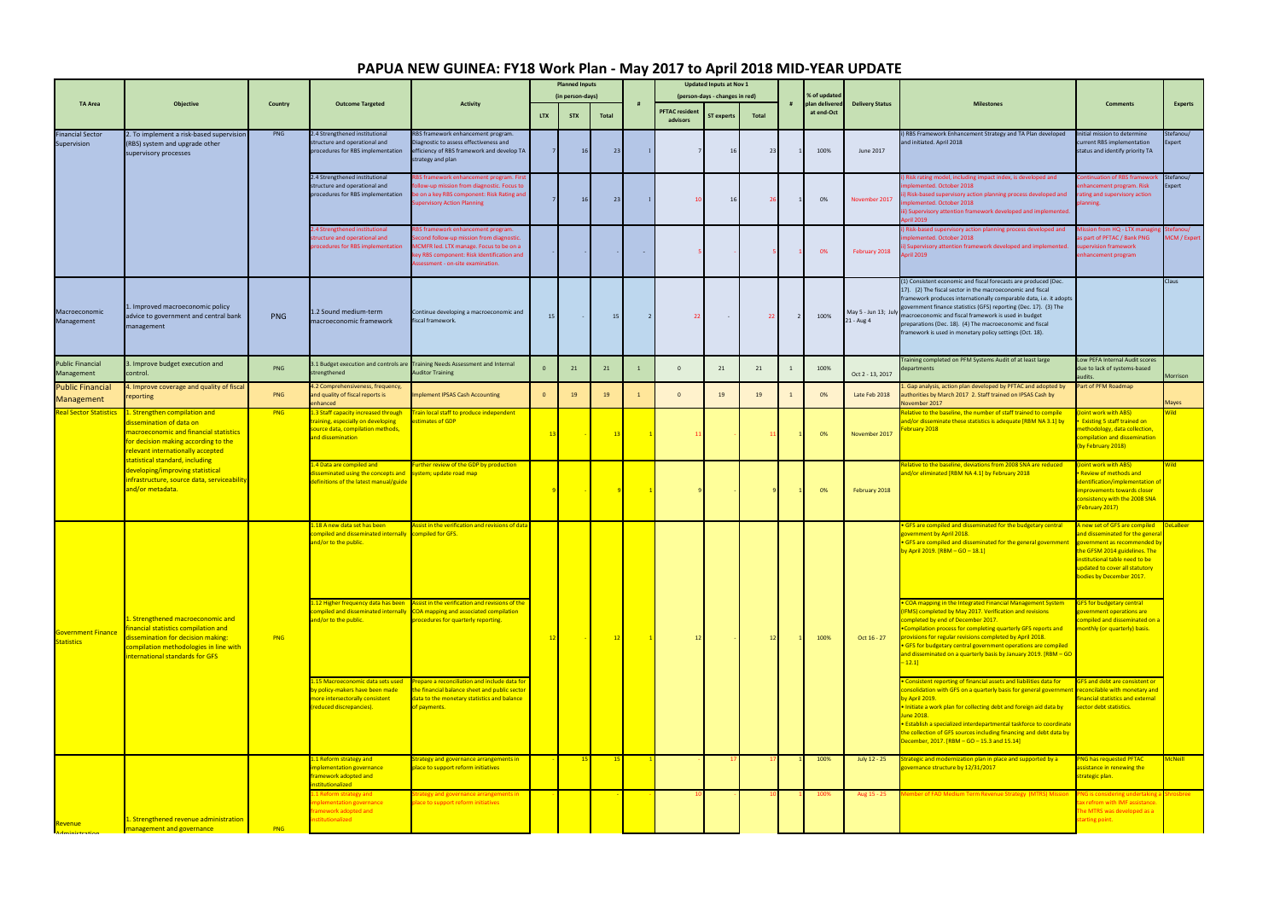|                                                | Objective                                                                                                                                                                                                                                                                                                               | Country    | <b>Outcome Targeted</b>                                                                                                            | <b>Activity</b>                                                                                                                                                                                           | <b>Planned Inputs</b> |                  |              |                |                                   | <b>Updated Inputs at Nov 1</b> |       |                |                                |                                    |                                                                                                                                                                                                                                                                                                                                                                                                                                                         |                                                                                                                                                                                                                                 |                                 |
|------------------------------------------------|-------------------------------------------------------------------------------------------------------------------------------------------------------------------------------------------------------------------------------------------------------------------------------------------------------------------------|------------|------------------------------------------------------------------------------------------------------------------------------------|-----------------------------------------------------------------------------------------------------------------------------------------------------------------------------------------------------------|-----------------------|------------------|--------------|----------------|-----------------------------------|--------------------------------|-------|----------------|--------------------------------|------------------------------------|---------------------------------------------------------------------------------------------------------------------------------------------------------------------------------------------------------------------------------------------------------------------------------------------------------------------------------------------------------------------------------------------------------------------------------------------------------|---------------------------------------------------------------------------------------------------------------------------------------------------------------------------------------------------------------------------------|---------------------------------|
| <b>TA Area</b>                                 |                                                                                                                                                                                                                                                                                                                         |            |                                                                                                                                    |                                                                                                                                                                                                           |                       | (in person-days) |              |                | (person-days - changes in red)    |                                |       |                | % of updated<br>plan delivered | <b>Delivery Status</b>             | <b>Milestones</b>                                                                                                                                                                                                                                                                                                                                                                                                                                       | <b>Comments</b>                                                                                                                                                                                                                 | Experts                         |
|                                                |                                                                                                                                                                                                                                                                                                                         |            |                                                                                                                                    |                                                                                                                                                                                                           | <b>LTX</b>            | <b>STX</b>       | <b>Total</b> |                | <b>PFTAC</b> resident<br>advisors | <b>ST experts</b>              | Total |                | at end-Oct                     |                                    |                                                                                                                                                                                                                                                                                                                                                                                                                                                         |                                                                                                                                                                                                                                 |                                 |
| <b>Financial Sector</b><br>Supervision         | 2. To implement a risk-based supervision<br>(RBS) system and upgrade other<br>supervisory processes                                                                                                                                                                                                                     | PNG        | 2.4 Strengthened institutional<br>structure and operational and<br>procedures for RBS implementation                               | RBS framework enhancement program.<br>Diagnostic to assess effectiveness and<br>efficiency of RBS framework and develop TA<br>strategy and plan                                                           |                       | 16               | 23           |                |                                   |                                | 23    |                | 100%                           | June 2017                          | i) RBS Framework Enhancement Strategy and TA Plan developed<br>and initiated. April 2018                                                                                                                                                                                                                                                                                                                                                                | Initial mission to determine<br>current RBS implementation<br>status and identify priority TA                                                                                                                                   | Stefanou/<br>Expert             |
|                                                |                                                                                                                                                                                                                                                                                                                         |            | 2.4 Strengthened institutional<br>structure and operational and<br>procedures for RBS implementation                               | BS framework enhancement program. First<br>ollow-up mission from diagnostic. Focus to<br>be on a key RBS component: Risk Rating and<br><b>upervisory Action Planning</b>                                  |                       | 16               | 23           |                |                                   | 16                             | -26   |                | 0%                             | November 2017                      | Risk rating model, including impact index, is developed and<br>implemented. October 2018<br>i) Risk-based supervisory action planning process developed and<br>plemented. October 2018<br>iii) Supervisory attention framework developed and implemented.<br>oril 2019                                                                                                                                                                                  | Continuation of RBS framework<br>enhancement program. Risk<br>rating and supervisory action<br>planning.                                                                                                                        | Stefanou/<br>Expert             |
|                                                |                                                                                                                                                                                                                                                                                                                         |            | 2.4 Strengthened institutional<br>tructure and operational and<br>procedures for RBS implementation                                | BS framework enhancement program.<br>econd follow-up mission from diagnostic.<br>MCMFR led. LTX manage. Focus to be on a<br>ey RBS component: Risk Identification and<br>ssessment - on-site examination. |                       |                  |              | $\sim$         |                                   |                                |       |                | 0%                             | February 2018                      | ) Risk-based supervisory action planning process developed and<br>implemented. October 2018<br>Supervisory attention framework developed and implemented.<br>oril 2019                                                                                                                                                                                                                                                                                  | Aission from HQ - LTX managing<br>as part of PFTAC / Bank PNG<br>supervision framework<br>enhancement program                                                                                                                   | tefanou/<br><b>MCM / Expert</b> |
| Macroeconomic<br>Management                    | 1. Improved macroeconomic policy<br>advice to government and central bank<br>management                                                                                                                                                                                                                                 | PNG        | 1.2 Sound medium-term<br>macroeconomic framework                                                                                   | Continue developing a macroeconomic and<br>fiscal framework.                                                                                                                                              | 15                    |                  | 15           | $\overline{2}$ | 22                                |                                | 22    | $\overline{2}$ | 100%                           | May 5 - Jun 13; July<br>21 - Aug 4 | (1) Consistent economic and fiscal forecasts are produced (Dec.<br>17). (2) The fiscal sector in the macroeconomic and fiscal<br>framework produces internationally comparable data, i.e. it adopts<br>government finance statistics (GFS) reporting (Dec. 17). (3) The<br>macroeconomic and fiscal framework is used in budget<br>preparations (Dec. 18). (4) The macroeconomic and fiscal<br>framework is used in monetary policy settings (Oct. 18). |                                                                                                                                                                                                                                 | Claus                           |
| <b>Public Financial</b><br>Management          | 3. Improve budget execution and<br>control.                                                                                                                                                                                                                                                                             | PNG        | strengthened                                                                                                                       | 1.1 Budget execution and controls are Training Needs Assessment and Internal<br><b>Auditor Training</b>                                                                                                   | $\mathbf{0}$          | 21               | 21           |                | $\mathbf{0}$                      | 21                             | 21    |                | 100%                           | Oct 2 - 13, 2017                   | Training completed on PFM Systems Audit of at least large<br>departments                                                                                                                                                                                                                                                                                                                                                                                | Low PEFA Internal Audit scores<br>due to lack of systems-based<br>audits.                                                                                                                                                       | Morrison                        |
| <b>Public Financial</b><br>Management          | 4. Improve coverage and quality of fiscal<br>reporting                                                                                                                                                                                                                                                                  | PNG        | 4.2 Comprehensiveness, frequency,<br>and quality of fiscal reports is<br>enhanced                                                  | mplement IPSAS Cash Accounting                                                                                                                                                                            | $\mathbf{0}$          | 19               | 19           |                | $\mathbf{0}$                      | 19                             | 19    |                | 0%                             | Late Feb 2018                      | Gap analysis, action plan developed by PFTAC and adopted by<br>uthorities by March 2017 2. Staff trained on IPSAS Cash by<br>November 2017                                                                                                                                                                                                                                                                                                              | Part of PFM Roadmap                                                                                                                                                                                                             | Mayes                           |
| <b>Real Sector Statistics</b>                  | 1. Strengthen compilation and<br>dissemination of data on<br>nacroeconomic and financial statistics<br>or decision making according to the<br>elevant internationally accepted<br>statistical standard, including<br>leveloping/improving statistical<br>nfrastructure, source data, serviceability<br>and/or metadata. | <b>PNG</b> | 1.3 Staff capacity increased through<br>raining, especially on developing<br>ource data, compilation methods,<br>and dissemination | Frain local staff to produce independent<br>stimates of GDP                                                                                                                                               |                       |                  | 13           |                |                                   |                                |       |                | 0%                             | November 2017                      | elative to the baseline, the number of staff trained to compile<br>nd/or disseminate these statistics is adequate [RBM NA 3.1] by<br>ebruary 2018                                                                                                                                                                                                                                                                                                       | Joint work with ABS)<br><b>Existing 5 staff trained on</b><br>nethodology, data collection,<br>compilation and dissemination<br>(by February 2018)                                                                              | <b>Nild</b>                     |
|                                                |                                                                                                                                                                                                                                                                                                                         |            | .4 Data are compiled and<br>lisseminated using the concepts and<br>definitions of the latest manual/guide                          | urther review of the GDP by production<br>system; update road map                                                                                                                                         |                       |                  |              |                |                                   |                                |       |                | 0%                             | February 2018                      | elative to the baseline, deviations from 2008 SNA are reduced<br>nd/or eliminated [RBM NA 4.1] by February 2018                                                                                                                                                                                                                                                                                                                                         | Joint work with ABS)<br>Review of methods and<br>dentification/implementation o<br>improvements towards closer<br>consistency with the 2008 SNA<br>(February 2017)                                                              | <b>Nild</b>                     |
| <b>Government Finance</b><br><b>Statistics</b> | Strengthened macroeconomic and<br>inancial statistics compilation and<br>issemination for decision making:<br>ompilation methodologies in line with<br>nternational standards for GFS                                                                                                                                   | PNG        | 18 A new data set has been<br>ompiled and disseminated internally<br>ind/or to the public.                                         | Assist in the verification and revisions of data<br>compiled for GFS.                                                                                                                                     |                       |                  | 12           |                |                                   |                                |       | 12             |                                | Oct 16 - 27                        | GFS are compiled and disseminated for the budgetary central<br>zovernment by April 2018.<br>GFS are compiled and disseminated for the general government<br>by April 2019. [RBM – GO – 18.1]                                                                                                                                                                                                                                                            | A new set of GFS are compiled<br>and disseminated for the genera<br>government as recommended b<br>the GFSM 2014 guidelines. The<br>nstitutional table need to be<br>updated to cover all statutory<br>bodies by December 2017. | <b>DeLaBeer</b>                 |
|                                                |                                                                                                                                                                                                                                                                                                                         |            | .12 Higher frequency data has been<br>compiled and disseminated internally<br>ind/or to the public.                                | ssist in the verification and revisions of the<br>COA mapping and associated compilation<br>rocedures for quarterly reporting.                                                                            |                       |                  |              |                |                                   |                                |       |                | 100%                           |                                    | COA mapping in the Integrated Financial Management System<br><b>IFMS)</b> completed by May 2017. Verification and revisions<br>completed by end of December 2017.<br>•Compilation process for completing quarterly GFS reports and<br>provisions for regular revisions completed by April 2018.<br><b>GFS for budgetary central government operations are compiled</b><br>and disseminated on a quarterly basis by January 2019. [RBM - GO<br>$-12.1$ ] | GFS for budgetary central<br>zovernment operations are<br>compiled and disseminated on<br>monthly (or quarterly) basis.                                                                                                         |                                 |
|                                                |                                                                                                                                                                                                                                                                                                                         |            | .15 Macroeconomic data sets used<br>by policy-makers have been made<br>nore intersectorally consistent<br>reduced discrepancies).  | repare a reconciliation and include data for<br>he financial balance sheet and public sector<br>lata to the monetary statistics and balance<br>of payments.                                               |                       |                  |              |                |                                   |                                |       |                |                                |                                    | Consistent reporting of financial assets and liabilities data for<br>consolidation with GFS on a quarterly basis for general government<br><mark>y April 2019.</mark><br>Initiate a work plan for collecting debt and foreign aid data by<br>une 2018.<br>Establish a specialized interdepartmental taskforce to coordinate<br>the collection of GFS sources including financing and debt data by<br>December, 2017. [RBM $-$ GO $-$ 15.3 and 15.14]    | <b>GFS and debt are consistent or</b><br>reconcilable with monetary and<br>inancial statistics and external<br>sector debt statistics.                                                                                          |                                 |
|                                                |                                                                                                                                                                                                                                                                                                                         |            | 1.1 Reform strategy and<br>mplementation governance<br>ramework adopted and<br>nstitutionalized                                    | Strategy and governance arrangements in<br>lace to support reform initiatives                                                                                                                             |                       | 15               | $-15$        |                |                                   |                                |       |                | 100%                           | July 12 - 25                       | rategic and modernization plan in place and supported by a<br>vernance structure by 12/31/2017                                                                                                                                                                                                                                                                                                                                                          | <b>PNG has requested PFTAC</b><br>assistance in renewing the<br>strategic plan.                                                                                                                                                 | <mark>McNeill</mark>            |
| Revenue<br><u>Iminictration</u>                | L. Strengthened revenue administration<br>management and governance                                                                                                                                                                                                                                                     | PNG        | 1 Reform strategy and<br>mplementation governance<br>ramework adopted and<br>nstitutionalized                                      | rategy and governance arrangements in<br>lace to support reform initiatives                                                                                                                               |                       |                  |              |                |                                   |                                |       |                | 100%                           | Aug 15 - 25                        | hber of FAD Medium Term Revenue Strategy (MTRS) Mission                                                                                                                                                                                                                                                                                                                                                                                                 | PNG is considering undertaking<br>ax refrom with IMF assistance.<br>The MTRS was developed as a<br>tarting point.                                                                                                               | nrosbree                        |

## **PAPUA NEW GUINEA: FY18 Work Plan - May 2017 to April 2018 MID-YEAR UPDATE**